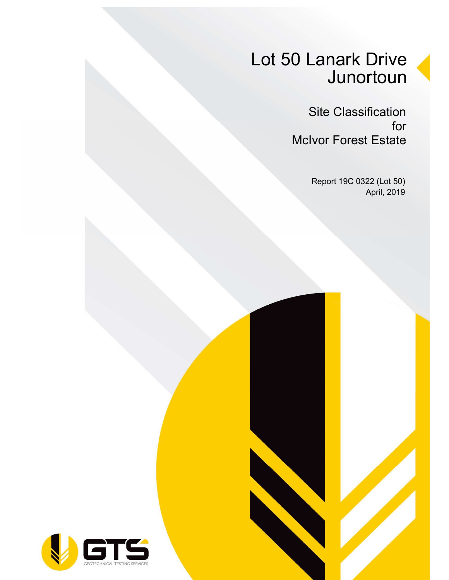# Lot 50 Lanark Drive **Junortoun**

Site Classification for McIvor Forest Estate

> Report 19C 0322 (Lot 50) April, 2019

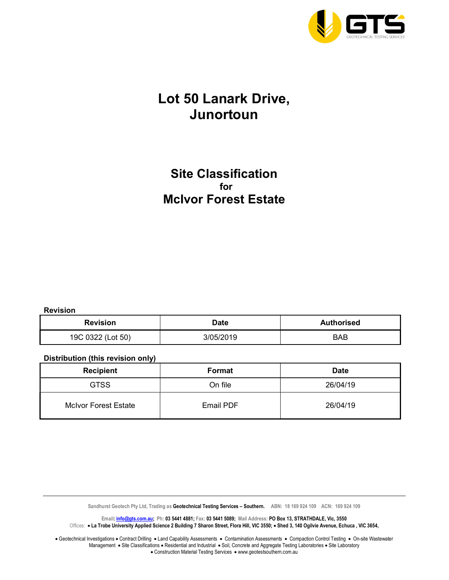

### Lot 50 Lanark Drive, Junortoun

### Site Classification for McIvor Forest Estate

Revision

| <b>Revision</b>   | <b>Date</b> | <b>Authorised</b> |  |
|-------------------|-------------|-------------------|--|
| 19C 0322 (Lot 50) | 3/05/2019   | BAB               |  |

#### Distribution (this revision only)

| <b>Recipient</b>            | Format           | <b>Date</b> |  |  |
|-----------------------------|------------------|-------------|--|--|
| <b>GTSS</b>                 | On file          | 26/04/19    |  |  |
| <b>McIvor Forest Estate</b> | <b>Email PDF</b> | 26/04/19    |  |  |

Sandhurst Geotech Pty Ltd, Trading as Geotechnical Testing Services - Southern. ABN: 18 169 924 109 ACN: 169 924 109

Email: *info@gts.com.au;* Ph: 03 5441 4881; Fax: 03 5441 5089; Mail Address: PO Box 13, STRATHDALE, Vic, 3550 Offices: . La Trobe University Applied Science 2 Building 7 Sharon Street, Flora Hill, VIC 3550; . Shed 3, 140 Ogilvie Avenue, Echuca, VIC 3654,

Geotechnical Investigations . Contract Drilling . Land Capability Assessments . Contamination Assessments . Compaction Control Testing . On-site Wastewater Management • Site Classifications • Residential and Industrial • Soil, Concrete and Aggregate Testing Laboratories • Site Laboratory • Construction Material Testing Services • www.geotestsouthern.com.au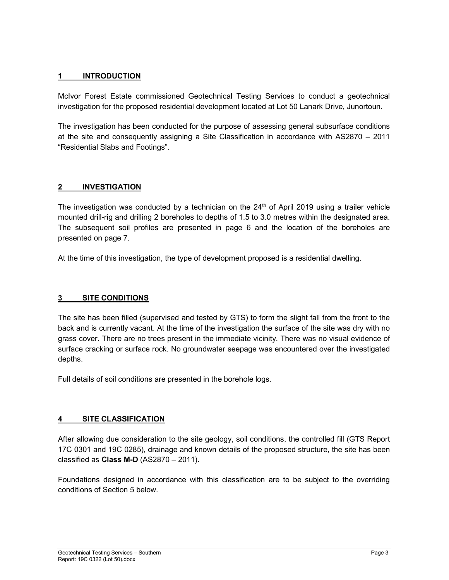#### 1 INTRODUCTION

McIvor Forest Estate commissioned Geotechnical Testing Services to conduct a geotechnical investigation for the proposed residential development located at Lot 50 Lanark Drive, Junortoun.

The investigation has been conducted for the purpose of assessing general subsurface conditions at the site and consequently assigning a Site Classification in accordance with AS2870 – 2011 "Residential Slabs and Footings".

#### 2 INVESTIGATION

The investigation was conducted by a technician on the  $24<sup>th</sup>$  of April 2019 using a trailer vehicle mounted drill-rig and drilling 2 boreholes to depths of 1.5 to 3.0 metres within the designated area. The subsequent soil profiles are presented in page 6 and the location of the boreholes are presented on page 7.

At the time of this investigation, the type of development proposed is a residential dwelling.

#### 3 SITE CONDITIONS

The site has been filled (supervised and tested by GTS) to form the slight fall from the front to the back and is currently vacant. At the time of the investigation the surface of the site was dry with no grass cover. There are no trees present in the immediate vicinity. There was no visual evidence of surface cracking or surface rock. No groundwater seepage was encountered over the investigated depths.

Full details of soil conditions are presented in the borehole logs.

#### 4 SITE CLASSIFICATION

After allowing due consideration to the site geology, soil conditions, the controlled fill (GTS Report 17C 0301 and 19C 0285), drainage and known details of the proposed structure, the site has been classified as Class M-D (AS2870 – 2011).

Foundations designed in accordance with this classification are to be subject to the overriding conditions of Section 5 below.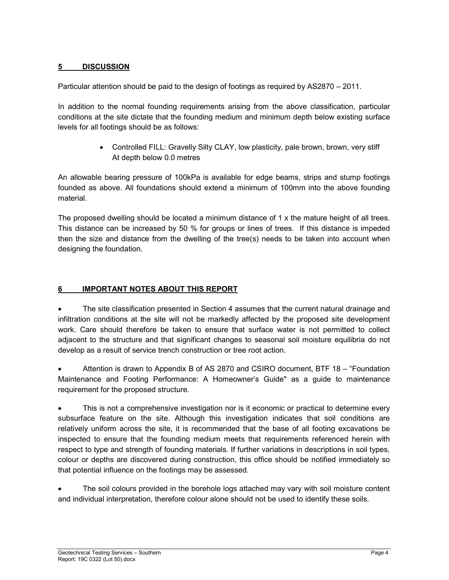#### 5 DISCUSSION

Particular attention should be paid to the design of footings as required by AS2870 – 2011.

In addition to the normal founding requirements arising from the above classification, particular conditions at the site dictate that the founding medium and minimum depth below existing surface levels for all footings should be as follows:

> Controlled FILL: Gravelly Silty CLAY, low plasticity, pale brown, brown, very stiff At depth below 0.0 metres

An allowable bearing pressure of 100kPa is available for edge beams, strips and stump footings founded as above. All foundations should extend a minimum of 100mm into the above founding material.

The proposed dwelling should be located a minimum distance of 1 x the mature height of all trees. This distance can be increased by 50 % for groups or lines of trees. If this distance is impeded then the size and distance from the dwelling of the tree(s) needs to be taken into account when designing the foundation.

#### 6 IMPORTANT NOTES ABOUT THIS REPORT

 The site classification presented in Section 4 assumes that the current natural drainage and infiltration conditions at the site will not be markedly affected by the proposed site development work. Care should therefore be taken to ensure that surface water is not permitted to collect adjacent to the structure and that significant changes to seasonal soil moisture equilibria do not develop as a result of service trench construction or tree root action.

 Attention is drawn to Appendix B of AS 2870 and CSIRO document, BTF 18 – "Foundation Maintenance and Footing Performance: A Homeowner's Guide" as a guide to maintenance requirement for the proposed structure.

• This is not a comprehensive investigation nor is it economic or practical to determine every subsurface feature on the site. Although this investigation indicates that soil conditions are relatively uniform across the site, it is recommended that the base of all footing excavations be inspected to ensure that the founding medium meets that requirements referenced herein with respect to type and strength of founding materials. If further variations in descriptions in soil types, colour or depths are discovered during construction, this office should be notified immediately so that potential influence on the footings may be assessed.

 The soil colours provided in the borehole logs attached may vary with soil moisture content and individual interpretation, therefore colour alone should not be used to identify these soils.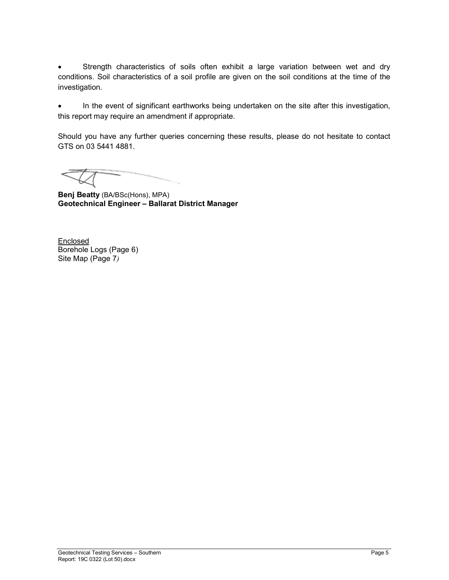Strength characteristics of soils often exhibit a large variation between wet and dry conditions. Soil characteristics of a soil profile are given on the soil conditions at the time of the investigation.

 In the event of significant earthworks being undertaken on the site after this investigation, this report may require an amendment if appropriate.

Should you have any further queries concerning these results, please do not hesitate to contact GTS on 03 5441 4881.

Benj Beatty (BA/BSc(Hons), MPA) Geotechnical Engineer – Ballarat District Manager

**Enclosed** Borehole Logs (Page 6) Site Map (Page 7)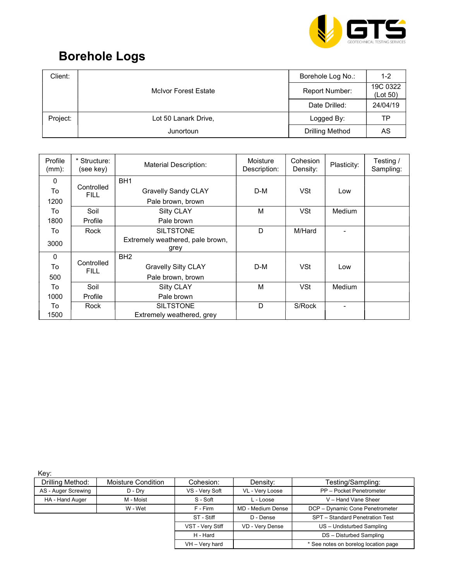

## Borehole Logs

| Client:  |                             | Borehole Log No.:      | $1 - 2$              |
|----------|-----------------------------|------------------------|----------------------|
|          | <b>McIvor Forest Estate</b> | Report Number:         | 19C 0322<br>(Lot 50) |
|          |                             | Date Drilled:          | 24/04/19             |
| Project: | Lot 50 Lanark Drive,        | Logged By:             | ТP                   |
|          | Junortoun                   | <b>Drilling Method</b> | AS                   |

| Profile<br>(mm): | Structure:<br>(see key)   | <b>Material Description:</b>             | Moisture<br>Description: | Cohesion<br>Density: | Plasticity:   | Testing /<br>Sampling: |
|------------------|---------------------------|------------------------------------------|--------------------------|----------------------|---------------|------------------------|
| $\mathbf{0}$     |                           | BH <sub>1</sub>                          |                          |                      |               |                        |
| To               | Controlled<br><b>FILL</b> | <b>Gravelly Sandy CLAY</b>               | D-M                      | <b>VSt</b>           | Low           |                        |
| 1200             |                           | Pale brown, brown                        |                          |                      |               |                        |
| To               | Soil                      | Silty CLAY                               | M                        | <b>VSt</b>           | <b>Medium</b> |                        |
| 1800             | Profile                   | Pale brown                               |                          |                      |               |                        |
| To               | Rock                      | <b>SILTSTONE</b>                         | D                        | M/Hard               |               |                        |
| 3000             |                           | Extremely weathered, pale brown,<br>grey |                          |                      |               |                        |
| $\Omega$         |                           | BH <sub>2</sub>                          |                          |                      |               |                        |
| To               | Controlled<br>FILL.       | <b>Gravelly Silty CLAY</b>               | D-M                      | <b>VSt</b>           | Low           |                        |
| 500              |                           | Pale brown, brown                        |                          |                      |               |                        |
| To               | Soil                      | <b>Silty CLAY</b>                        | М                        | <b>VSt</b>           | Medium        |                        |
| 1000             | Profile                   | Pale brown                               |                          |                      |               |                        |
| To               | Rock                      | <b>SILTSTONE</b>                         | D                        | S/Rock               | ۰             |                        |
| 1500             |                           | Extremely weathered, grey                |                          |                      |               |                        |

Key:

| Drilling Method:    | <b>Moisture Condition</b> | Cohesion:        | Density:          | Testing/Sampling:                    |
|---------------------|---------------------------|------------------|-------------------|--------------------------------------|
|                     |                           |                  |                   |                                      |
| AS - Auger Screwing | D - Dry                   | VS - Very Soft   | VL - Very Loose   | PP - Pocket Penetrometer             |
| HA - Hand Auger     | M - Moist                 | S - Soft         | L - Loose         | V - Hand Vane Sheer                  |
|                     | W - Wet                   | F - Firm         | MD - Medium Dense | DCP - Dynamic Cone Penetrometer      |
|                     |                           | ST - Stiff       | D - Dense         | SPT - Standard Penetration Test      |
|                     |                           | VST - Very Stiff | VD - Very Dense   | US - Undisturbed Sampling            |
|                     |                           | H - Hard         |                   | DS - Disturbed Sampling              |
|                     |                           | VH - Very hard   |                   | * See notes on borelog location page |